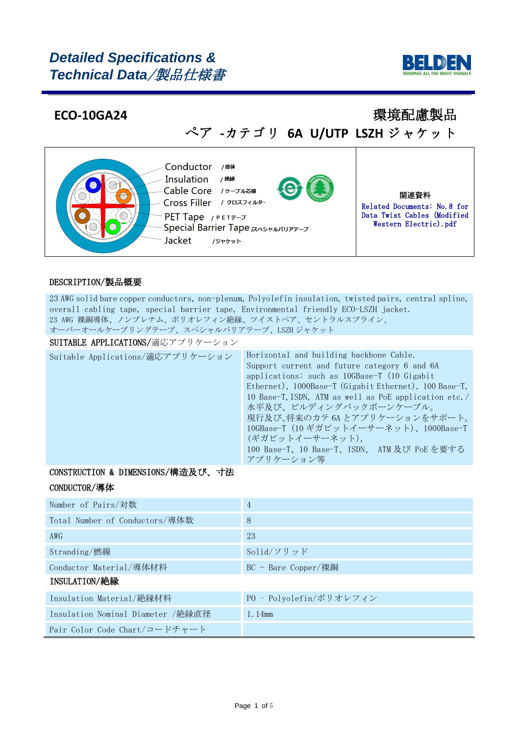# *Detailed Specifications & Technical Data*/製品仕様書



## **ECO-10GA24** 2012 2022年 2022年 2022年 2022年 2022年 2022年 2022年 2022年 2022年 2022年 2022年 2022年 2022年 2022年 2022年 2022年 20

ぺア **-**カテゴリ **6A U/UTP LSZH** ジャケット



### DESCRIPTION/製品概要

23 AWG solid bare copper conductors, non-plenum, Polyolefin insulation, twisted pairs, central spline, overall cabling tape, special barrier tape, Environmental friendly ECO-LSZH jacket. 23 AWG 裸銅導体、ノンプレナム、ポリオレフィン絶縁、ツイストペア、セントラルスプライン、 オーバーオールケーブリングテープ、スペシャルバリアテープ、LSZH ジャケット

### SUITABLE APPLICATIONS/適応アプリケーション

| Suitable Applications/適応アプリケーション | Horizontal and building backbone Cable.               |
|----------------------------------|-------------------------------------------------------|
|                                  | Support current and future category 6 and 6A          |
|                                  | applications: such as 10GBase-T (10 Gigabit           |
|                                  | Ethernet), 1000Base-T (Gigabit Ethernet), 100 Base-T, |
|                                  | 10 Base-T, ISDN, ATM as well as PoE application etc./ |
|                                  | 水平及び、ビルディングバックボーンケーブル。                                |
|                                  | 現行及び、将来のカテ6Aとアプリケーションをサポート。                           |
|                                  | 10GBase-T (10 ギガビットイーサーネット)、1000Base-T                |
|                                  | (ギガビットイーサーネット).                                       |
|                                  | 100 Base-T、10 Base-T、ISDN、 ATM 及び PoE を要する            |
|                                  | アプリケーション等                                             |

### CONSTRUCTION & DIMENSIONS/構造及び、寸法

### CONDUCTOR/導体

| Number of Pairs/対数                | 4                       |
|-----------------------------------|-------------------------|
| Total Number of Conductors/導体数    | 8                       |
| AWG                               | 23                      |
| Stranding/撚線                      | Solid/ソリッド              |
| Conductor Material/導体材料           | $BC - B$ are Copper/裸銅  |
| <b>INSULATION/絶縁</b>              |                         |
| Insulation Material/絶縁材料          | PO - Polyolefin/ポリオレフィン |
| Insulation Nominal Diameter /絶縁直径 | 1.14mm                  |
| Pair Color Code Chart/コードチャート     |                         |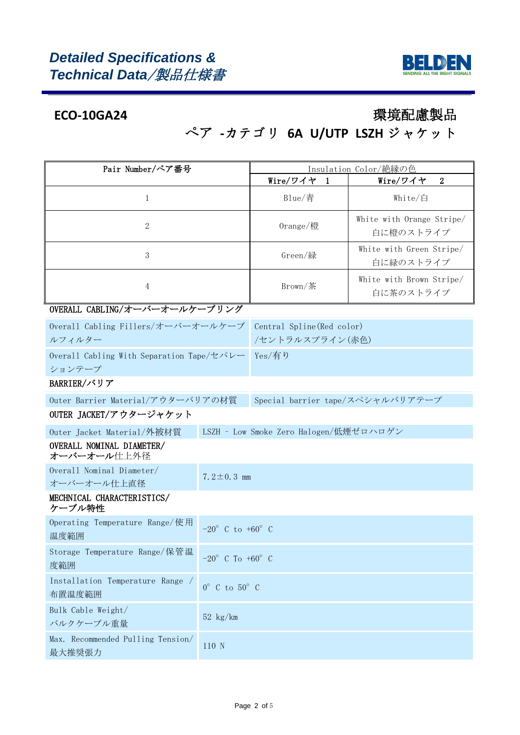

# ぺア **-**カテゴリ **6A U/UTP LSZH** ジャケット

| Pair Number/ペア番号                                    | Insulation Color/絶縁の色              |                                        |  |                                        |  |  |  |
|-----------------------------------------------------|------------------------------------|----------------------------------------|--|----------------------------------------|--|--|--|
|                                                     |                                    | Wire/ワイヤ 1                             |  | $\boldsymbol{2}$<br>Wire/ワイヤ           |  |  |  |
| 1                                                   |                                    | Blue/青                                 |  | White/白                                |  |  |  |
| 2                                                   |                                    | Orange/橙                               |  | White with Orange Stripe/<br>白に橙のストライプ |  |  |  |
| 3                                                   |                                    | Green/緑                                |  | White with Green Stripe/<br>白に緑のストライプ  |  |  |  |
| $\overline{4}$                                      |                                    | Brown/茶                                |  | White with Brown Stripe/<br>白に茶のストライプ  |  |  |  |
| OVERALL CABLING/オーバーオールケーブリング                       |                                    |                                        |  |                                        |  |  |  |
| Overall Cabling Fillers/オーバーオールケーブ                  |                                    | Central Spline (Red color)             |  |                                        |  |  |  |
| ルフィルター                                              |                                    | /セントラルスプライン(赤色)                        |  |                                        |  |  |  |
| Overall Cabling With Separation Tape/セパレー<br>ションテープ |                                    | Yes/有り                                 |  |                                        |  |  |  |
| BARRIER/バリア                                         |                                    |                                        |  |                                        |  |  |  |
| Outer Barrier Material/アウターバリアの材質                   |                                    | Special barrier tape/スペシャルバリアテープ       |  |                                        |  |  |  |
| OUTER JACKET/アウタージャケット                              |                                    |                                        |  |                                        |  |  |  |
| Outer Jacket Material/外被材質                          |                                    | LSZH - Low Smoke Zero Halogen/低煙ゼロハロゲン |  |                                        |  |  |  |
| OVERALL NOMINAL DIAMETER/<br>オーバーオール仕上外径            |                                    |                                        |  |                                        |  |  |  |
| Overall Nominal Diameter/<br>オーバーオール仕上直径            | 7.2 $\pm$ 0.3 mm                   |                                        |  |                                        |  |  |  |
| MECHNICAL CHARACTERISTICS/<br>ケーブル特性                |                                    |                                        |  |                                        |  |  |  |
| Operating Temperature Range/使用<br>温度範囲              | $-20^{\circ}$ C to $+60^{\circ}$ C |                                        |  |                                        |  |  |  |
| Storage Temperature Range/保管温<br>度範囲                | $-20^{\circ}$ C To $+60^{\circ}$ C |                                        |  |                                        |  |  |  |
| Installation Temperature Range /<br>布置温度範囲          | $0^\circ$ C to $50^\circ$ C        |                                        |  |                                        |  |  |  |
| Bulk Cable Weight/<br>バルクケーブル重量                     | $52 \text{ kg/km}$                 |                                        |  |                                        |  |  |  |
| Max. Recommended Pulling Tension/<br>最大推奨張力         | 110 N                              |                                        |  |                                        |  |  |  |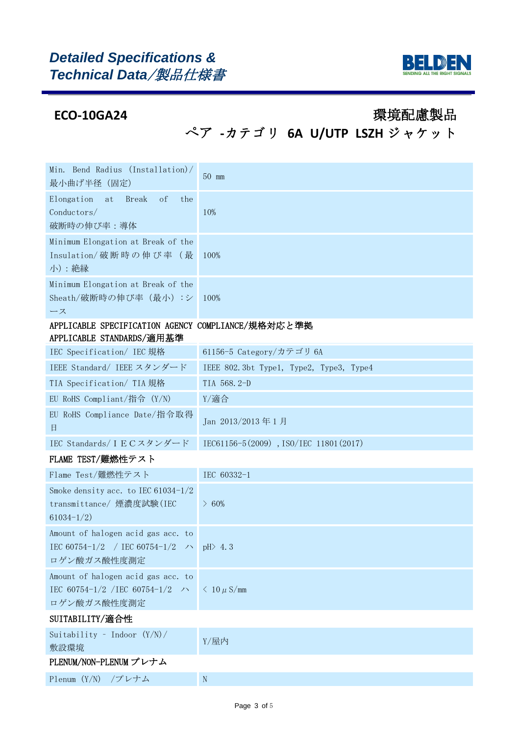

ぺア **-**カテゴリ **6A U/UTP LSZH** ジャケット

| Min. Bend Radius (Installation)/<br>最小曲げ半径 (固定)                                                             | $50 \text{ mm}$                         |
|-------------------------------------------------------------------------------------------------------------|-----------------------------------------|
| Elongation<br><b>Break</b><br>of<br>the<br>at<br>Conductors/<br>破断時の伸び率:導体                                  | 10%                                     |
| Minimum Elongation at Break of the<br>Insulation/破断時の伸び率(最<br>小) : 絶縁                                       | 100%                                    |
| Minimum Elongation at Break of the<br>Sheath/破断時の伸び率(最小):シ<br>ース                                            | 100%                                    |
| APPLICABLE SPECIFICATION AGENCY COMPLIANCE/規格対応と準拠<br>APPLICABLE STANDARDS/適用基準                             |                                         |
| IEC Specification/ IEC 規格                                                                                   | 61156-5 Category/カテゴリ 6A                |
| IEEE Standard/ IEEE スタンダード                                                                                  | IEEE 802.3bt Type1, Type2, Type3, Type4 |
| TIA Specification/ TIA 規格                                                                                   | TIA 568.2-D                             |
| EU RoHS Compliant/指令 (Y/N)                                                                                  | Y/適合                                    |
| EU RoHS Compliance Date/指令取得<br>目                                                                           | Jan 2013/2013年1月                        |
| IEC Standards/IECスタンダード                                                                                     | IEC61156-5(2009), ISO/IEC 11801(2017)   |
| FLAME TEST/難燃性テスト                                                                                           |                                         |
| Flame Test/難燃性テスト                                                                                           | IEC 60332-1                             |
| Smoke density acc. to IEC $61034-1/2$<br>transmittance/ 煙濃度試験(IEC<br>$61034 - 1/2$                          | $\geq 60\%$                             |
| Amount of halogen acid gas acc. to<br>IEC 60754-1/2 / IEC 60754-1/2 $\rightarrow$ pH $> 4.3$<br>ロゲン酸ガス酸性度測定 |                                         |
| Amount of halogen acid gas acc. to<br>IEC 60754-1/2 / IEC 60754-1/2 $\rightarrow$<br>ロゲン酸ガス酸性度測定            | $\langle 10 \mu S/mm$                   |
| SUITABILITY/適合性                                                                                             |                                         |
| Suitability - Indoor $(Y/N)$ /<br>敷設環境                                                                      | Y/屋内                                    |
| PLENUM/NON-PLENUM プレナム                                                                                      |                                         |
| Plenum (Y/N) /プレナム                                                                                          | $\, {\rm N}$                            |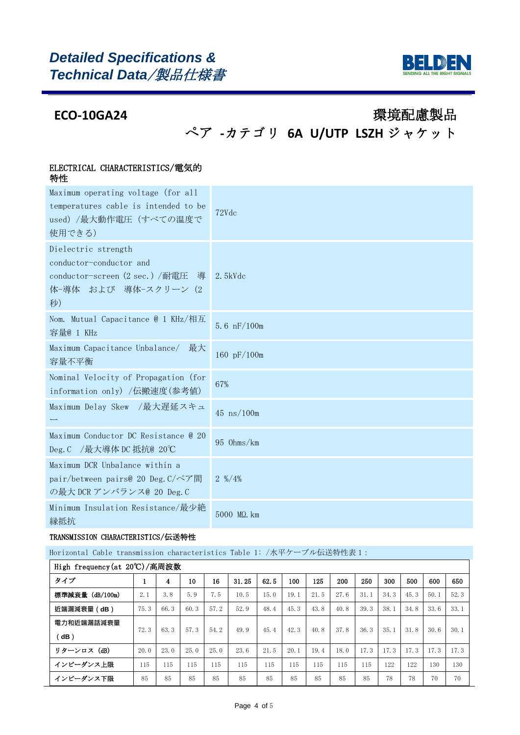

# ぺア **-**カテゴリ **6A U/UTP LSZH** ジャケット

### ELECTRICAL CHARACTERISTICS/電気的 特性

| 可工                                                                                                               |                              |
|------------------------------------------------------------------------------------------------------------------|------------------------------|
| Maximum operating voltage (for all<br>temperatures cable is intended to be<br>used) /最大動作電圧 (すべての温度で<br>使用できる)   | 72Vdc                        |
| Dielectric strength<br>conductor-conductor and<br>conductor-screen (2 sec.) /耐電圧 導<br>体-導体 および 導体-スクリーン (2<br>秒) | $2.5$ k $Vdc$                |
| Nom. Mutual Capacitance @ 1 KHz/相互<br>容量@ 1 KHz                                                                  | 5.6 $nF/100m$                |
| Maximum Capacitance Unbalance/ 最大<br>容量不平衡                                                                       | 160 pF/100m                  |
| Nominal Velocity of Propagation (for<br>information only) /伝搬速度(参考値)                                             | 67%                          |
| Maximum Delay Skew /最大遅延スキュ                                                                                      | $45 \text{ ns}/100 \text{m}$ |
| Maximum Conductor DC Resistance @ 20<br>Deg. C /最大導体 DC 抵抗@ 20℃                                                  | 95 Ohms/km                   |
| Maximum DCR Unbalance within a<br>pair/between pairs@ 20 Deg.C/ペア間<br>の最大 DCR アンバランス@ 20 Deg. C                  | $2\frac{\frac{9}{2}}{4\%}$   |
| Minimum Insulation Resistance/最少絶<br>縁抵抗                                                                         | 5000 MQ. km                  |

### TRANSMISSION CHARACTERISTICS/伝送特性

### Horizontal Cable transmission characteristics Table 1: /水平ケーブル伝送特性表 1:

| High frequency (at 20°C)/高周波数 |      |      |      |      |       |      |      |      |      |      |      |      |      |      |
|-------------------------------|------|------|------|------|-------|------|------|------|------|------|------|------|------|------|
| タイプ                           |      | 4    | 10   | 16   | 31.25 | 62.5 | 100  | 125  | 200  | 250  | 300  | 500  | 600  | 650  |
| 標準減衰量 (dB/100m)               | 2.1  | 3.8  | 5.9  | 7.5  | 10.5  | 15.0 | 19.1 | 21.5 | 27.6 | 31.1 | 34.3 | 45.3 | 50.1 | 52.3 |
| 近端漏減衰量(dB)                    | 75.3 | 66.3 | 60.3 | 57.2 | 52.9  | 48.4 | 45.3 | 43.8 | 40.8 | 39.3 | 38.1 | 34.8 | 33.6 | 33.1 |
| 電力和近端漏話減衰量                    | 72.3 | 63.3 | 57.3 | 54.2 | 49.9  | 45.4 | 42.3 | 40.8 | 37.8 | 36.3 | 35.1 | 31.8 | 30.6 | 30.1 |
| (dB)                          |      |      |      |      |       |      |      |      |      |      |      |      |      |      |
| リターンロス (dB)                   | 20.0 | 23.0 | 25.0 | 25.0 | 23.6  | 21.5 | 20.1 | 19.4 | 18.0 | 17.3 | 17.3 | 17.3 | 17.3 | 17.3 |
| インピーダンス上限                     | 115  | 115  | 115  | 115  | 115   | 115  | 115  | 115  | 115  | 115  | 122  | 122  | 130  | 130  |
| インピーダンス下限                     | 85   | 85   | 85   | 85   | 85    | 85   | 85   | 85   | 85   | 85   | 78   | 78   | 70   | 70   |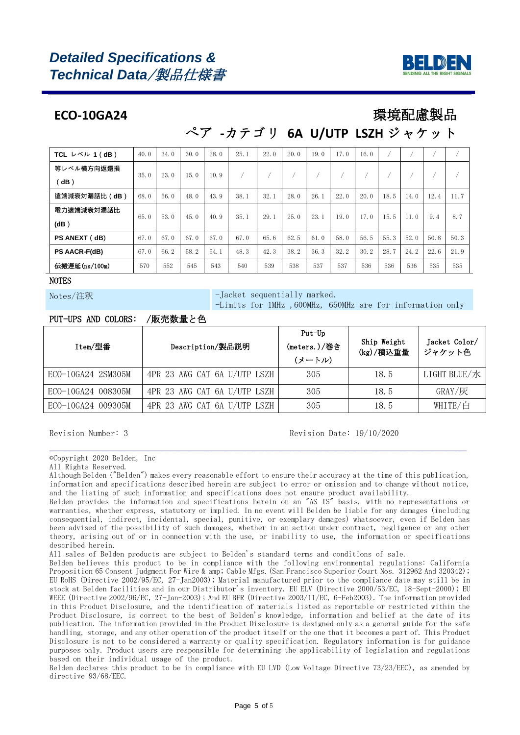# *Detailed Specifications & Technical Data*/製品仕様書



## **ECO-10GA24** 環境配慮製品

## ぺア **-**カテゴリ **6A U/UTP LSZH** ジャケット

| TCL $\nu \stackrel{\sim}{\sim} \nu$ 1 (dB) | 40.0 | 34.0 | 30.0 | 28.0 | 25.1 | 22.0 | 20.0 | 19.0 | 17.0 | 16.0 |      |      |      |      |
|--------------------------------------------|------|------|------|------|------|------|------|------|------|------|------|------|------|------|
| 等レベル横方向返還損                                 | 35.0 | 23.0 | 15.0 | 10.9 |      |      |      |      |      |      |      |      |      |      |
| ddB)                                       |      |      |      |      |      |      |      |      |      |      |      |      |      |      |
| 遠端減衰対漏話比(dB)                               | 68.0 | 56.0 | 48.0 | 43.9 | 38.1 | 32.1 | 28.0 | 26.1 | 22.0 | 20.0 | 18.5 | 14.0 | 12.4 | 11.7 |
| 電力遠端減衰対漏話比                                 | 65.0 | 53.0 | 45.0 | 40.9 | 35.1 | 29.1 | 25.0 | 23.1 | 19.0 | 17.0 | 15.5 | 11.0 | 9.4  | 8.7  |
| (dB)                                       |      |      |      |      |      |      |      |      |      |      |      |      |      |      |
| PS ANEXT (dB)                              | 67.0 | 67.0 | 67.0 | 67.0 | 67.0 | 65.6 | 62.5 | 61.0 | 58.0 | 56.5 | 55.3 | 52.0 | 50.8 | 50.3 |
| <b>PS AACR-F(dB)</b>                       | 67.0 | 66.2 | 58.2 | 54.1 | 48.3 | 42.3 | 38.2 | 36.3 | 32.2 | 30.2 | 28.7 | 24.2 | 22.6 | 21.9 |
| 伝搬遅延(ns/100m)                              | 570  | 552  | 545  | 543  | 540  | 539  | 538  | 537  | 537  | 536  | 536  | 536  | 535  | 535  |

**NOTES** 

Notes/注釈 -Jacket sequentially marked.

-Limits for 1MHz ,600MHz, 650MHz are for information only

### PUT-UPS AND COLORS: /販売数量と色

| Item/型番            | Description/製品説明             | Put-Up<br>(meters.)/巻き<br>(メートル) | Ship Weight<br>(kg)/積込重量 | Jacket Color/<br>ジャケット色 |
|--------------------|------------------------------|----------------------------------|--------------------------|-------------------------|
| ECO-10GA24 2SM305M | 4PR 23 AWG CAT 6A U/UTP LSZH | 305                              | 18.5                     | LIGHT BLUE/水            |
| ECO-10GA24 008305M | 4PR 23 AWG CAT 6A U/UTP LSZH | 305                              | 18.5                     | $GRAY/\overline{K}$     |
| ECO-10GA24 009305M | 4PR 23 AWG CAT 6A U/UTP LSZH | 305                              | 18.5                     | WHITE/白                 |

### Revision Number: 3 Revision Date: 19/10/2020

©Copyright 2020 Belden, Inc

All Rights Reserved.

Although Belden ("Belden") makes every reasonable effort to ensure their accuracy at the time of this publication, information and specifications described herein are subject to error or omission and to change without notice, and the listing of such information and specifications does not ensure product availability.

\_\_\_\_\_\_\_\_\_\_\_\_\_\_\_\_\_\_\_\_\_\_\_\_\_\_\_\_\_\_\_\_\_\_\_\_\_\_\_\_\_\_\_\_\_\_\_\_\_\_\_\_\_\_\_\_\_\_\_\_\_\_\_\_\_\_\_\_\_\_\_\_\_\_\_\_\_\_\_\_\_\_\_\_\_\_\_\_\_\_\_

Belden provides the information and specifications herein on an "AS IS" basis, with no representations or warranties, whether express, statutory or implied. In no event will Belden be liable for any damages (including consequential, indirect, incidental, special, punitive, or exemplary damages) whatsoever, even if Belden has been advised of the possibility of such damages, whether in an action under contract, negligence or any other theory, arising out of or in connection with the use, or inability to use, the information or specifications described herein.

All sales of Belden products are subject to Belden's standard terms and conditions of sale.

Belden believes this product to be in compliance with the following environmental regulations: California Proposition 65 Consent Judgment For Wire & amp; Cable Mfgs.(San Francisco Superior Court Nos. 312962 And 320342); EU RoHS (Directive 2002/95/EC, 27-Jan2003); Material manufactured prior to the compliance date may still be in stock at Belden facilities and in our Distributor's inventory. EU ELV (Directive 2000/53/EC, 18-Sept-2000); EU WEEE (Directive 2002/96/EC, 27-Jan-2003); And EU BFR (Directive 2003/11/EC, 6-Feb2003). The information provided in this Product Disclosure, and the identification of materials listed as reportable or restricted within the Product Disclosure, is correct to the best of Belden's knowledge, information and belief at the date of its publication. The information provided in the Product Disclosure is designed only as a general guide for the safe handling, storage, and any other operation of the product itself or the one that it becomes a part of. This Product Disclosure is not to be considered a warranty or quality specification. Regulatory information is for guidance purposes only. Product users are responsible for determining the applicability of legislation and regulations based on their individual usage of the product.

Belden declares this product to be in compliance with EU LVD (Low Voltage Directive 73/23/EEC), as amended by directive 93/68/EEC.